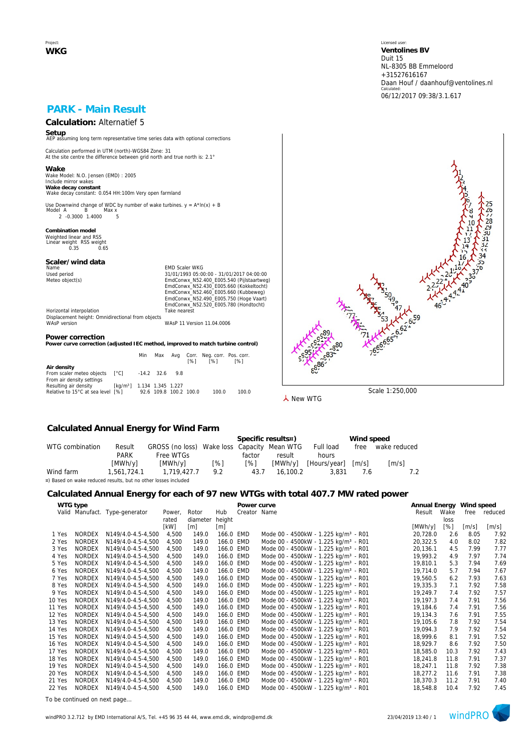Project: **WKG** Licensed user: **Ventolines BV**  Duit 15 NL-8305 BB Emmeloord +31527616167 Daan Houf / daanhouf@ventolines.nl Calculated: 06/12/2017 09:38/3.1.617

## **PARK - Main Result**

# **Calculation:** Alternatief 5

**Setup** AEP assuming long term representative time series data with optional corrections

Calculation performed in UTM (north)-WGS84 Zone: 31 At the site centre the difference between grid north and true north is: 2.1°

**Wake** Wake Model: N.O. Jensen (EMD) : 2005 Include mirror wakes **Wake decay constant** Wake decay constant: 0.054 HH:100m Very open farmland

Use Downwind change of WDC by number of wake turbines.  $y = A^* \ln(x) + B$ <br>Model A B Max x нег д. — Б. — тиах х.<br>2. -0.3000. 1.4000. — 5.

**Combination model** Weighted linear and RSS Linear weight RSS weight 0.35 0.65

## **Scaler/wind data**

Name Content of Maria Content of Maria Content of Maria Content of Maria Content of Maria Content of Maria Content Content of Maria Content Content Of Maria Content Content Of Maria Content Content Of Maria Content Content Used period<br>
Meteo object(s)<br>
Meteo object(s)<br>
EmdConwx\_N52.400\_E005.540 (Pijlstaartweg)<br>
EmdConwx\_N52.400\_E005.660 (Kukbelweg)<br>
EmdConwx\_N52.460\_E005.660 (Kukbelweg)<br>
EmdConwx\_N52.490\_E005.750 (Hoge Vaart) EmdConwx\_N52.520\_E005.780 (Hondtocht) Horizontal interpolation Take nearest

Displacement height: Omnidirectional from objects WAsP version WAsP 11 Version 11.04.0006

#### **Power correction**

**Power curve correction (adjusted IEC method, improved to match turbine control)**

|                                                                            |                                                | Min                    | Max              | [%] | Avg Corr. Neg. corr. Pos. corr.<br><b>1%1</b> | <b>1%1</b> |
|----------------------------------------------------------------------------|------------------------------------------------|------------------------|------------------|-----|-----------------------------------------------|------------|
| Air density<br>From scaler meteo objects [°C]<br>From air density settings |                                                |                        | $-14.2$ 32.6 9.8 |     |                                               |            |
| Resulting air density<br>Relative to 15°C at sea level [%]                 | $\lceil \text{kg/m3} \rceil$ 1.134 1.345 1.227 | 92.6 109.8 100.2 100.0 |                  |     | 100.0                                         | 100.0      |



**人** New WTG

#### **Calculated Annual Energy for Wind Farm**

|                                                                |             |                                             |     |        | Specific results¤) |                      | Wind speed          |                     |  |  |
|----------------------------------------------------------------|-------------|---------------------------------------------|-----|--------|--------------------|----------------------|---------------------|---------------------|--|--|
| WTG combination                                                | Result      | GROSS (no loss) Wake loss Capacity Mean WTG |     |        |                    | Full load            | free                | wake reduced        |  |  |
|                                                                | <b>PARK</b> | Free WTGs                                   |     | factor | result             | hours                |                     |                     |  |  |
|                                                                | [MWh/y]     | [MWh/v]                                     | [%] | [%]    |                    | [MWh/y] [Hours/year] | $\lceil m/s \rceil$ | $\lceil m/s \rceil$ |  |  |
| Wind farm                                                      | 1.561.724.1 | 1,719,427.7                                 | 9.2 | 43.7   | 16.100.2           | 3.831                | 7.6                 |                     |  |  |
| ¤) Based on wake reduced results, but no other losses included |             |                                             |     |        |                    |                      |                     |                     |  |  |

#### **Calculated Annual Energy for each of 97 new WTGs with total 407.7 MW rated power**

|        |               | ັ                              |        |          |                   |              |                                                  |                          |      |                     |                             |
|--------|---------------|--------------------------------|--------|----------|-------------------|--------------|--------------------------------------------------|--------------------------|------|---------------------|-----------------------------|
|        | WTG type      |                                |        |          |                   | Power curve  |                                                  | Annual Energy Wind speed |      |                     |                             |
|        |               | Valid Manufact. Type-generator | Power. | Rotor    | Hub               | Creator Name |                                                  | Result                   | Wake |                     | free reduced                |
|        |               |                                | rated  | diameter | height            |              |                                                  |                          | loss |                     |                             |
|        |               |                                | [kW]   | [m]      | $\lceil m \rceil$ |              |                                                  | [MWh/y]                  | [%]  | $\lceil m/s \rceil$ | $\left[\mathrm{m/s}\right]$ |
| 1 Yes  | NORDEX        | N149/4.0-4.5-4,500             | 4,500  | 149.0    | 166.0 EMD         |              | Mode 00 - 4500kW - 1.225 kg/m <sup>3</sup> - R01 | 20,728.0                 | 2.6  | 8.05                | 7.92                        |
| 2 Yes  | <b>NORDEX</b> | N149/4.0-4.5-4.500             | 4.500  | 149.0    | 166.0 EMD         |              | Mode 00 - 4500kW - 1.225 kg/m <sup>3</sup> - R01 | 20,322.5                 | 4.0  | 8.02                | 7.82                        |
| 3 Yes  | <b>NORDEX</b> | N149/4.0-4.5-4,500             | 4.500  | 149.0    | 166.0 EMD         |              | Mode 00 - 4500kW - 1.225 kg/m <sup>3</sup> - R01 | 20,136.1                 | 4.5  | 7.99                | 7.77                        |
| 4 Yes  | <b>NORDEX</b> | N149/4.0-4.5-4,500             | 4.500  | 149.0    | 166.0 EMD         |              | Mode 00 - 4500kW - 1.225 kg/m <sup>3</sup> - R01 | 19,993.2                 | 4.9  | 7.97                | 7.74                        |
| 5 Yes  | <b>NORDEX</b> | N149/4.0-4.5-4,500             | 4,500  | 149.0    | 166.0 EMD         |              | Mode 00 - 4500kW - 1.225 kg/m <sup>3</sup> - R01 | 19,810.1                 | 5.3  | 7.94                | 7.69                        |
| 6 Yes  | <b>NORDEX</b> | N149/4.0-4.5-4,500             | 4,500  | 149.0    | 166.0 EMD         |              | Mode 00 - 4500kW - 1.225 kg/m <sup>3</sup> - R01 | 19,714.0                 | 5.7  | 7.94                | 7.67                        |
| 7 Yes  | <b>NORDEX</b> | N149/4.0-4.5-4,500             | 4,500  | 149.0    | 166.0 EMD         |              | Mode 00 - 4500kW - 1.225 kg/m <sup>3</sup> - R01 | 19,560.5                 | 6.2  | 7.93                | 7.63                        |
| 8 Yes  | <b>NORDEX</b> | N149/4.0-4.5-4,500             | 4,500  | 149.0    | 166.0 EMD         |              | Mode 00 - 4500kW - 1.225 kg/m <sup>3</sup> - R01 | 19,335.3                 | 7.1  | 7.92                | 7.58                        |
| 9 Yes  | <b>NORDEX</b> | N149/4.0-4.5-4.500             | 4.500  | 149.0    | 166.0 EMD         |              | Mode 00 - 4500kW - 1.225 kg/m <sup>3</sup> - R01 | 19,249.7                 | 7.4  | 7.92                | 7.57                        |
| 10 Yes | <b>NORDEX</b> | N149/4.0-4.5-4,500             | 4,500  | 149.0    | 166.0 EMD         |              | Mode 00 - 4500kW - 1.225 kg/m <sup>3</sup> - R01 | 19,197.3                 | 7.4  | 7.91                | 7.56                        |
| 11 Yes | <b>NORDEX</b> | N149/4.0-4.5-4,500             | 4,500  | 149.0    | 166.0 EMD         |              | Mode 00 - 4500kW - 1.225 kg/m <sup>3</sup> - R01 | 19,184.6                 | 7.4  | 7.91                | 7.56                        |
| 12 Yes | <b>NORDEX</b> | N149/4.0-4.5-4,500             | 4,500  | 149.0    | 166.0 EMD         |              | Mode 00 - 4500kW - 1.225 kg/m <sup>3</sup> - R01 | 19,134.3                 | 7.6  | 7.91                | 7.55                        |
| 13 Yes | <b>NORDEX</b> | N149/4.0-4.5-4,500             | 4,500  | 149.0    | 166.0 EMD         |              | Mode 00 - 4500kW - 1.225 kg/m <sup>3</sup> - R01 | 19,105.6                 | 7.8  | 7.92                | 7.54                        |
| 14 Yes | <b>NORDEX</b> | N149/4.0-4.5-4,500             | 4,500  | 149.0    | 166.0 EMD         |              | Mode 00 - 4500kW - 1.225 kg/m <sup>3</sup> - R01 | 19,094.3                 | 7.9  | 7.92                | 7.54                        |
| 15 Yes | <b>NORDEX</b> | N149/4.0-4.5-4,500             | 4,500  | 149.0    | 166.0 EMD         |              | Mode 00 - 4500kW - 1.225 kg/m <sup>3</sup> - R01 | 18,999.6                 | 8.1  | 7.91                | 7.52                        |
| 16 Yes | <b>NORDEX</b> | N149/4.0-4.5-4,500             | 4,500  | 149.0    | 166.0 EMD         |              | Mode 00 - 4500kW - 1.225 kg/m <sup>3</sup> - R01 | 18,929.7                 | 8.6  | 7.92                | 7.50                        |
| 17 Yes | <b>NORDEX</b> | N149/4.0-4.5-4.500             | 4,500  | 149.0    | 166.0 EMD         |              | Mode 00 - 4500kW - 1.225 kg/m <sup>3</sup> - R01 | 18,585.0                 | 10.3 | 7.92                | 7.43                        |
| 18 Yes | <b>NORDEX</b> | N149/4.0-4.5-4.500             | 4,500  | 149.0    | 166.0 EMD         |              | Mode 00 - 4500kW - 1.225 kg/m <sup>3</sup> - R01 | 18,241.8                 | 11.8 | 7.91                | 7.37                        |
| 19 Yes | <b>NORDEX</b> | N149/4.0-4.5-4,500             | 4,500  | 149.0    | 166.0 EMD         |              | Mode 00 - 4500kW - 1.225 kg/m <sup>3</sup> - R01 | 18,247.1                 | 11.8 | 7.92                | 7.38                        |
| 20 Yes | <b>NORDEX</b> | N149/4.0-4.5-4,500             | 4,500  | 149.0    | 166.0 EMD         |              | Mode 00 - 4500kW - 1.225 kg/m <sup>3</sup> - R01 | 18,277.2                 | 11.6 | 7.91                | 7.38                        |
| 21 Yes | <b>NORDEX</b> | N149/4.0-4.5-4,500             | 4,500  | 149.0    | 166.0 EMD         |              | Mode 00 - 4500kW - 1.225 kg/m <sup>3</sup> - R01 | 18,370.3                 | 11.2 | 7.91                | 7.40                        |
| 22 Yes | <b>NORDEX</b> | N149/4.0-4.5-4,500             | 4,500  | 149.0    | 166.0 EMD         |              | Mode 00 - 4500kW - 1.225 kg/m <sup>3</sup> - R01 | 18,548.8                 | 10.4 | 7.92                | 7.45                        |

*To be continued on next page...*

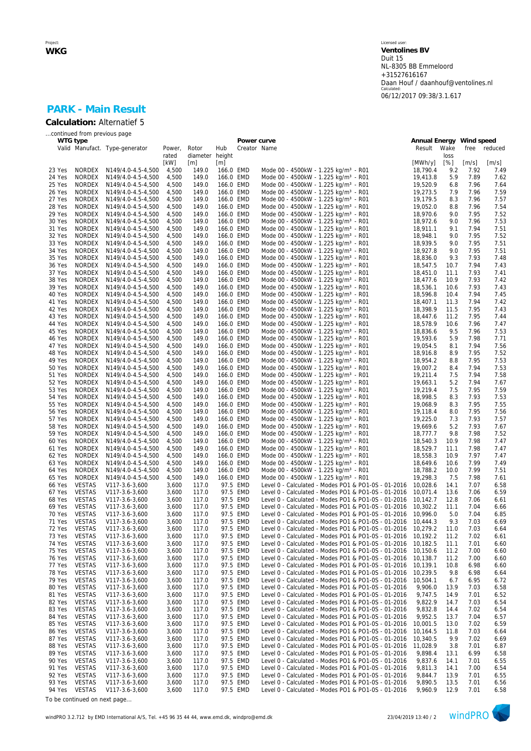Licensed user: **Ventolines BV**  Duit 15 NL-8305 BB Emmeloord +31527616167 Daan Houf / daanhouf@ventolines.nl Calculated: 06/12/2017 09:38/3.1.617

## **PARK - Main Result Calculation:** Alternatief 5

|                  | continued from previous page   |                                          |                 |                          |                        |                      |                                                                                                                     |                          |              |              |              |
|------------------|--------------------------------|------------------------------------------|-----------------|--------------------------|------------------------|----------------------|---------------------------------------------------------------------------------------------------------------------|--------------------------|--------------|--------------|--------------|
| WTG type         |                                |                                          |                 |                          |                        |                      | Power curve                                                                                                         | Annual Energy Wind speed |              |              |              |
|                  |                                | Valid Manufact. Type-generator           | Power,<br>rated | Rotor<br>diameter height | Hub                    |                      | Creator Name                                                                                                        | Result                   | Wake<br>loss | free         | reduced      |
|                  |                                |                                          | [kW]            | [m]                      | [m]                    |                      |                                                                                                                     | [MWh/y]                  | [%]          | [m/s]        | [m/s]        |
| 23 Yes           | NORDEX                         | N149/4.0-4.5-4,500                       | 4,500           | 149.0                    | 166.0 EMD              |                      | Mode 00 - 4500kW - 1.225 kg/m <sup>3</sup> - R01                                                                    | 18,790.4                 | 9.2          | 7.92         | 7.49         |
| 24 Yes           | <b>NORDEX</b>                  | N149/4.0-4.5-4,500                       | 4,500           | 149.0                    | 166.0 EMD              |                      | Mode 00 - 4500kW - 1.225 kg/m <sup>3</sup> - R01                                                                    | 19,413.8                 | 5.9          | 7.89         | 7.62         |
| 25 Yes           | <b>NORDEX</b>                  | N149/4.0-4.5-4,500                       | 4,500           | 149.0                    | 166.0 EMD              |                      | Mode 00 - 4500kW - 1.225 kg/m <sup>3</sup> - R01                                                                    | 19,520.9                 | 6.8          | 7.96         | 7.64         |
| 26 Yes           | <b>NORDEX</b>                  | N149/4.0-4.5-4,500                       | 4,500           | 149.0                    | 166.0 EMD              |                      | Mode 00 - 4500kW - 1.225 kg/m <sup>3</sup> - R01                                                                    | 19,273.5                 | 7.9          | 7.96         | 7.59         |
| 27 Yes           | NORDEX                         | N149/4.0-4.5-4,500                       | 4,500           | 149.0                    | 166.0 EMD              |                      | Mode 00 - 4500kW - 1.225 kg/m <sup>3</sup> - R01                                                                    | 19,179.5                 | 8.3          | 7.96         | 7.57         |
| 28 Yes           | NORDEX                         | N149/4.0-4.5-4,500                       | 4,500           | 149.0                    | 166.0 EMD              |                      | Mode 00 - 4500kW - 1.225 kg/m <sup>3</sup> - R01                                                                    | 19,052.0                 | 8.8          | 7.96         | 7.54         |
| 29 Yes           | <b>NORDEX</b>                  | N149/4.0-4.5-4,500                       | 4,500           | 149.0                    | 166.0 EMD              |                      | Mode 00 - 4500kW - 1.225 kg/m <sup>3</sup> - R01                                                                    | 18,970.6                 | 9.0          | 7.95         | 7.52         |
| 30 Yes           | NORDEX                         | N149/4.0-4.5-4,500                       | 4,500           | 149.0                    | 166.0 EMD              |                      | Mode 00 - 4500kW - 1.225 kg/m <sup>3</sup> - R01                                                                    | 18,972.6                 | 9.0          | 7.96         | 7.53         |
| 31 Yes           | <b>NORDEX</b>                  | N149/4.0-4.5-4,500                       | 4,500           | 149.0                    | 166.0 EMD              |                      | Mode 00 - 4500kW - 1.225 kg/m <sup>3</sup> - R01                                                                    | 18,911.1                 | 9.1          | 7.94         | 7.51         |
| 32 Yes           | NORDEX                         | N149/4.0-4.5-4,500                       | 4,500           | 149.0                    | 166.0 EMD              |                      | Mode 00 - 4500kW - 1.225 kg/m <sup>3</sup> - R01                                                                    | 18,948.1                 | 9.0          | 7.95         | 7.52         |
| 33 Yes<br>34 Yes | <b>NORDEX</b><br>NORDEX        | N149/4.0-4.5-4,500<br>N149/4.0-4.5-4,500 | 4,500<br>4,500  | 149.0<br>149.0           | 166.0 EMD<br>166.0 EMD |                      | Mode 00 - 4500kW - 1.225 kg/m <sup>3</sup> - R01<br>Mode 00 - 4500kW - 1.225 kg/m <sup>3</sup> - R01                | 18,939.5<br>18,927.8     | 9.0<br>9.0   | 7.95<br>7.95 | 7.51<br>7.51 |
| 35 Yes           | <b>NORDEX</b>                  | N149/4.0-4.5-4,500                       | 4,500           | 149.0                    | 166.0 EMD              |                      | Mode 00 - 4500kW - 1.225 kg/m <sup>3</sup> - R01                                                                    | 18,836.0                 | 9.3          | 7.93         | 7.48         |
| 36 Yes           | NORDEX                         | N149/4.0-4.5-4,500                       | 4,500           | 149.0                    | 166.0 EMD              |                      | Mode 00 - 4500kW - 1.225 kg/m <sup>3</sup> - R01                                                                    | 18,547.5                 | 10.7         | 7.94         | 7.43         |
| 37 Yes           | <b>NORDEX</b>                  | N149/4.0-4.5-4,500                       | 4,500           | 149.0                    | 166.0 EMD              |                      | Mode 00 - 4500kW - 1.225 kg/m <sup>3</sup> - R01                                                                    | 18,451.0                 | 11.1         | 7.93         | 7.41         |
| 38 Yes           | NORDEX                         | N149/4.0-4.5-4,500                       | 4,500           | 149.0                    | 166.0 EMD              |                      | Mode 00 - 4500kW - 1.225 kg/m <sup>3</sup> - R01                                                                    | 18,477.6                 | 10.9         | 7.93         | 7.42         |
| 39 Yes           | <b>NORDEX</b>                  | N149/4.0-4.5-4,500                       | 4,500           | 149.0                    | 166.0 EMD              |                      | Mode 00 - 4500kW - 1.225 kg/m <sup>3</sup> - R01                                                                    | 18,536.1                 | 10.6         | 7.93         | 7.43         |
| 40 Yes           | NORDEX                         | N149/4.0-4.5-4,500                       | 4,500           | 149.0                    | 166.0 EMD              |                      | Mode 00 - 4500kW - 1.225 kg/m <sup>3</sup> - R01                                                                    | 18,596.8                 | 10.4         | 7.94         | 7.45         |
| 41 Yes           | <b>NORDEX</b>                  | N149/4.0-4.5-4,500                       | 4,500           | 149.0                    | 166.0 EMD              |                      | Mode 00 - 4500kW - 1.225 kg/m <sup>3</sup> - R01                                                                    | 18,407.1                 | 11.3         | 7.94         | 7.42         |
| 42 Yes           | <b>NORDEX</b>                  | N149/4.0-4.5-4,500                       | 4,500           | 149.0                    | 166.0 EMD              |                      | Mode 00 - 4500kW - 1.225 kg/m <sup>3</sup> - R01                                                                    | 18,398.9                 | 11.5         | 7.95         | 7.43         |
| 43 Yes           | <b>NORDEX</b>                  | N149/4.0-4.5-4,500                       | 4,500           | 149.0                    | 166.0 EMD              |                      | Mode 00 - 4500kW - 1.225 kg/m <sup>3</sup> - R01                                                                    | 18,447.6                 | 11.2         | 7.95         | 7.44         |
| 44 Yes           | NORDEX                         | N149/4.0-4.5-4,500                       | 4,500           | 149.0                    | 166.0 EMD              |                      | Mode 00 - 4500kW - 1.225 kg/m <sup>3</sup> - R01                                                                    | 18,578.9                 | 10.6         | 7.96         | 7.47         |
| 45 Yes           | NORDEX                         | N149/4.0-4.5-4,500                       | 4,500           | 149.0                    | 166.0 EMD              |                      | Mode 00 - 4500kW - 1.225 kg/m <sup>3</sup> - R01                                                                    | 18,836.6                 | 9.5          | 7.96         | 7.53         |
| 46 Yes           | NORDEX                         | N149/4.0-4.5-4,500                       | 4,500           | 149.0                    | 166.0 EMD              |                      | Mode 00 - 4500kW - 1.225 kg/m <sup>3</sup> - R01                                                                    | 19,593.6                 | 5.9          | 7.98         | 7.71         |
| 47 Yes           | NORDEX                         | N149/4.0-4.5-4,500                       | 4,500           | 149.0                    | 166.0 EMD              |                      | Mode 00 - 4500kW - 1.225 kg/m <sup>3</sup> - R01                                                                    | 19,054.5                 | 8.1          | 7.94         | 7.56         |
| 48 Yes           | <b>NORDEX</b>                  | N149/4.0-4.5-4,500                       | 4,500           | 149.0                    | 166.0 EMD              |                      | Mode 00 - 4500kW - 1.225 kg/m <sup>3</sup> - R01                                                                    | 18,916.8                 | 8.9          | 7.95         | 7.52         |
| 49 Yes           | NORDEX                         | N149/4.0-4.5-4,500                       | 4,500           | 149.0                    | 166.0 EMD              |                      | Mode 00 - 4500kW - 1.225 kg/m <sup>3</sup> - R01                                                                    | 18,954.2                 | 8.8          | 7.95         | 7.53         |
| 50 Yes           | <b>NORDEX</b>                  | N149/4.0-4.5-4,500                       | 4,500           | 149.0                    | 166.0 EMD              |                      | Mode 00 - 4500kW - 1.225 kg/m <sup>3</sup> - R01                                                                    | 19,007.2                 | 8.4          | 7.94         | 7.53         |
| 51 Yes<br>52 Yes | NORDEX<br><b>NORDEX</b>        | N149/4.0-4.5-4,500                       | 4,500<br>4,500  | 149.0<br>149.0           | 166.0 EMD<br>166.0 EMD |                      | Mode 00 - 4500kW - 1.225 kg/m <sup>3</sup> - R01<br>Mode 00 - 4500kW - 1.225 kg/m <sup>3</sup> - R01                | 19,211.4                 | 7.5<br>5.2   | 7.94<br>7.94 | 7.58<br>7.67 |
| 53 Yes           | NORDEX                         | N149/4.0-4.5-4,500<br>N149/4.0-4.5-4,500 | 4,500           | 149.0                    | 166.0 EMD              |                      | Mode 00 - 4500kW - 1.225 kg/m <sup>3</sup> - R01                                                                    | 19,663.1<br>19,219.4     | 7.5          | 7.95         | 7.59         |
| 54 Yes           | <b>NORDEX</b>                  | N149/4.0-4.5-4,500                       | 4,500           | 149.0                    | 166.0 EMD              |                      | Mode 00 - 4500kW - 1.225 kg/m <sup>3</sup> - R01                                                                    | 18,998.5                 | 8.3          | 7.93         | 7.53         |
| 55 Yes           | NORDEX                         | N149/4.0-4.5-4,500                       | 4,500           | 149.0                    | 166.0 EMD              |                      | Mode 00 - 4500kW - 1.225 kg/m <sup>3</sup> - R01                                                                    | 19,068.9                 | 8.3          | 7.95         | 7.55         |
| 56 Yes           | <b>NORDEX</b>                  | N149/4.0-4.5-4,500                       | 4,500           | 149.0                    | 166.0 EMD              |                      | Mode 00 - 4500kW - 1.225 kg/m <sup>3</sup> - R01                                                                    | 19,118.4                 | 8.0          | 7.95         | 7.56         |
| 57 Yes           | NORDEX                         | N149/4.0-4.5-4,500                       | 4,500           | 149.0                    | 166.0 EMD              |                      | Mode 00 - 4500kW - 1.225 kg/m <sup>3</sup> - R01                                                                    | 19,225.0                 | 7.3          | 7.93         | 7.57         |
| 58 Yes           | <b>NORDEX</b>                  | N149/4.0-4.5-4,500                       | 4,500           | 149.0                    | 166.0 EMD              |                      | Mode 00 - 4500kW - 1.225 kg/m <sup>3</sup> - R01                                                                    | 19,669.6                 | 5.2          | 7.93         | 7.67         |
| 59 Yes           | NORDEX                         | N149/4.0-4.5-4,500                       | 4,500           | 149.0                    | 166.0 EMD              |                      | Mode 00 - 4500kW - 1.225 kg/m <sup>3</sup> - R01                                                                    | 18,777.7                 | 9.8          | 7.98         | 7.52         |
| 60 Yes           | <b>NORDEX</b>                  | N149/4.0-4.5-4,500                       | 4,500           | 149.0                    | 166.0 EMD              |                      | Mode 00 - 4500kW - 1.225 kg/m <sup>3</sup> - R01                                                                    | 18,540.3                 | 10.9         | 7.98         | 7.47         |
| 61 Yes           | <b>NORDEX</b>                  | N149/4.0-4.5-4,500                       | 4,500           | 149.0                    | 166.0 EMD              |                      | Mode 00 - 4500kW - 1.225 kg/m <sup>3</sup> - R01                                                                    | 18,529.7                 | 11.1         | 7.98         | 7.47         |
| 62 Yes           | <b>NORDEX</b>                  | N149/4.0-4.5-4,500                       | 4,500           | 149.0                    | 166.0 EMD              |                      | Mode 00 - 4500kW - 1.225 kg/m <sup>3</sup> - R01                                                                    | 18,558.3                 | 10.9         | 7.97         | 7.47         |
| 63 Yes           | NORDEX                         | N149/4.0-4.5-4,500                       | 4,500           | 149.0                    | 166.0 EMD              |                      | Mode 00 - 4500kW - 1.225 kg/m <sup>3</sup> - R01                                                                    | 18,649.6                 | 10.6         | 7.99         | 7.49         |
| 64 Yes           | NORDEX                         | N149/4.0-4.5-4,500                       | 4,500           | 149.0                    | 166.0 EMD              |                      | Mode 00 - 4500kW - 1.225 kg/m <sup>3</sup> - R01                                                                    | 18,788.2                 | 10.0         | 7.99         | 7.51         |
| 65 Yes           | <b>NORDEX</b>                  | N149/4.0-4.5-4,500                       | 4,500           | 149.0                    | 166.0 EMD              |                      | Mode 00 - 4500kW - 1.225 kg/m <sup>3</sup> - R01                                                                    | 19,298.3                 | 7.5          | 7.98         | 7.61         |
| 66 Yes           | <b>VESTAS</b>                  | V117-3.6-3,600                           | 3,600           | 117.0                    |                        | 97.5 EMD             | Level 0 - Calculated - Modes PO1 & PO1-0S - 01-2016                                                                 | 10,028.6                 | 14.1         | 7.07         | 6.58         |
| 67 Yes           | <b>VESTAS</b>                  | V117-3.6-3,600                           | 3,600           | 117.0                    |                        | 97.5 EMD             | Level 0 - Calculated - Modes PO1 & PO1-0S - 01-2016                                                                 | 10,071.4                 | 13.6         | 7.06         | 6.59         |
| 68 Yes           | <b>VESTAS</b>                  | V117-3.6-3,600                           | 3,600           | 117.0                    |                        | 97.5 EMD             | Level 0 - Calculated - Modes PO1 & PO1-0S - 01-2016                                                                 | 10,142.7                 | 12.8         | 7.06         | 6.61         |
| 69 Yes           | <b>VESTAS</b>                  | V117-3.6-3,600                           | 3,600           | 117.0                    |                        | 97.5 EMD             | Level 0 - Calculated - Modes PO1 & PO1-0S - 01-2016                                                                 | 10.302.2                 | 11.1         | 7.04         | 6.66         |
| 70 Yes<br>71 Yes | <b>VESTAS</b><br><b>VESTAS</b> | V117-3.6-3,600<br>V117-3.6-3,600         | 3,600<br>3,600  | 117.0<br>117.0           |                        | 97.5 EMD<br>97.5 EMD | Level 0 - Calculated - Modes PO1 & PO1-0S - 01-2016<br>Level 0 - Calculated - Modes PO1 & PO1-0S - 01-2016 10.444.3 | 10,996.0                 | 5.0<br>9.3   | 7.04<br>7.03 | 6.85         |
| 72 Yes           | VESTAS                         | V117-3.6-3,600                           | 3,600           | 117.0                    |                        | 97.5 EMD             | Level 0 - Calculated - Modes PO1 & PO1-0S - 01-2016                                                                 | 10,279.2                 | 11.0         | 7.03         | 6.69<br>6.64 |
| 73 Yes           | <b>VESTAS</b>                  | V117-3.6-3,600                           | 3,600           | 117.0                    |                        | 97.5 EMD             | Level 0 - Calculated - Modes PO1 & PO1-0S - 01-2016 10,192.2                                                        |                          | 11.2         | 7.02         | 6.61         |
| 74 Yes           | <b>VESTAS</b>                  | V117-3.6-3,600                           | 3,600           | 117.0                    |                        | 97.5 EMD             | Level 0 - Calculated - Modes PO1 & PO1-0S - 01-2016                                                                 | 10,182.5                 | 11.1         | 7.01         | 6.60         |
| 75 Yes           | <b>VESTAS</b>                  | V117-3.6-3,600                           | 3,600           | 117.0                    |                        | 97.5 EMD             | Level 0 - Calculated - Modes PO1 & PO1-0S - 01-2016                                                                 | 10,150.6                 | 11.2         | 7.00         | 6.60         |
| 76 Yes           | <b>VESTAS</b>                  | V117-3.6-3,600                           | 3,600           | 117.0                    |                        | 97.5 EMD             | Level 0 - Calculated - Modes PO1 & PO1-0S - 01-2016                                                                 | 10,138.7                 | 11.2         | 7.00         | 6.60         |
| 77 Yes           | <b>VESTAS</b>                  | V117-3.6-3,600                           | 3,600           | 117.0                    |                        | 97.5 EMD             | Level 0 - Calculated - Modes PO1 & PO1-0S - 01-2016                                                                 | 10,139.1                 | 10.8         | 6.98         | 6.60         |
| 78 Yes           | <b>VESTAS</b>                  | V117-3.6-3,600                           | 3,600           | 117.0                    |                        | 97.5 EMD             | Level 0 - Calculated - Modes PO1 & PO1-0S - 01-2016                                                                 | 10.239.5                 | 9.8          | 6.98         | 6.64         |
| 79 Yes           | <b>VESTAS</b>                  | V117-3.6-3,600                           | 3,600           | 117.0                    |                        | 97.5 EMD             | Level 0 - Calculated - Modes PO1 & PO1-0S - 01-2016                                                                 | 10,504.1                 | 6.7          | 6.95         | 6.72         |
| 80 Yes           | <b>VESTAS</b>                  | V117-3.6-3,600                           | 3,600           | 117.0                    |                        | 97.5 EMD             | Level 0 - Calculated - Modes PO1 & PO1-0S - 01-2016                                                                 | 9,906.0                  | 13.9         | 7.03         | 6.58         |
| 81 Yes           | <b>VESTAS</b>                  | V117-3.6-3,600                           | 3,600           | 117.0                    |                        | 97.5 EMD             | Level 0 - Calculated - Modes PO1 & PO1-0S - 01-2016                                                                 | 9,747.5                  | 14.9         | 7.01         | 6.52         |
| 82 Yes           | <b>VESTAS</b>                  | V117-3.6-3,600                           | 3,600           | 117.0                    |                        | 97.5 EMD             | Level 0 - Calculated - Modes PO1 & PO1-0S - 01-2016                                                                 | 9,822.9                  | 14.7         | 7.03         | 6.54         |
| 83 Yes           | <b>VESTAS</b>                  | V117-3.6-3,600                           | 3,600           | 117.0                    |                        | 97.5 EMD             | Level 0 - Calculated - Modes PO1 & PO1-0S - 01-2016                                                                 | 9,832.8                  | 14.4         | 7.02         | 6.54         |
| 84 Yes           | <b>VESTAS</b>                  | V117-3.6-3,600                           | 3,600           | 117.0                    |                        | 97.5 EMD             | Level 0 - Calculated - Modes PO1 & PO1-0S - 01-2016                                                                 | 9,952.5                  | 13.7         | 7.04         | 6.57         |
| 85 Yes           | <b>VESTAS</b>                  | V117-3.6-3,600                           | 3,600           | 117.0                    |                        | 97.5 EMD             | Level 0 - Calculated - Modes PO1 & PO1-0S - 01-2016                                                                 | 10,001.5                 | 13.0         | 7.02         | 6.59         |
| 86 Yes           | <b>VESTAS</b>                  | V117-3.6-3,600                           | 3,600           | 117.0                    |                        | 97.5 EMD             | Level 0 - Calculated - Modes PO1 & PO1-0S - 01-2016                                                                 | 10,164.5                 | 11.8         | 7.03         | 6.64         |
| 87 Yes           | <b>VESTAS</b>                  | V117-3.6-3,600                           | 3,600           | 117.0                    |                        | 97.5 EMD             | Level 0 - Calculated - Modes PO1 & PO1-0S - 01-2016                                                                 | 10,340.5                 | 9.9          | 7.02         | 6.69         |
| 88 Yes           | <b>VESTAS</b>                  | V117-3.6-3,600                           | 3,600           | 117.0                    |                        | 97.5 EMD             | Level 0 - Calculated - Modes PO1 & PO1-0S - 01-2016                                                                 | 11,028.9                 | 3.8          | 7.01         | 6.87         |
| 89 Yes           | <b>VESTAS</b>                  | V117-3.6-3,600                           | 3,600           | 117.0                    |                        | 97.5 EMD             | Level 0 - Calculated - Modes PO1 & PO1-0S - 01-2016                                                                 | 9,898.4                  | 13.1         | 6.99         | 6.58         |
| 90 Yes<br>91 Yes | <b>VESTAS</b><br>VESTAS        | V117-3.6-3,600<br>V117-3.6-3,600         | 3,600<br>3,600  | 117.0<br>117.0           |                        | 97.5 EMD<br>97.5 EMD | Level 0 - Calculated - Modes PO1 & PO1-0S - 01-2016<br>Level 0 - Calculated - Modes PO1 & PO1-0S - 01-2016          | 9,837.6<br>9,811.3       | 14.1<br>14.1 | 7.01<br>7.00 | 6.55<br>6.54 |
| 92 Yes           | <b>VESTAS</b>                  | V117-3.6-3,600                           | 3,600           | 117.0                    |                        | 97.5 EMD             | Level 0 - Calculated - Modes PO1 & PO1-0S - 01-2016                                                                 | 9,844.7                  | 13.9         | 7.01         | 6.55         |
| 93 Yes           | <b>VESTAS</b>                  | V117-3.6-3,600                           | 3,600           | 117.0                    |                        | 97.5 EMD             | Level 0 - Calculated - Modes PO1 & PO1-0S - 01-2016                                                                 | 9,890.5                  | 13.5         | 7.01         | 6.56         |
| 94 Yes           | VESTAS                         | V117-3.6-3,600                           | 3,600           | 117.0                    |                        | 97.5 EMD             | Level 0 - Calculated - Modes PO1 & PO1-0S - 01-2016                                                                 | 9,960.9                  | 12.9         | 7.01         | 6.58         |

*To be continued on next page...*

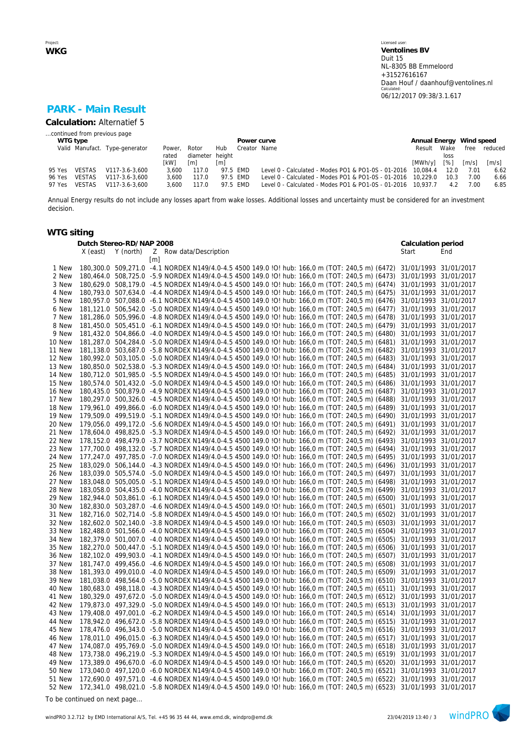# **PARK - Main Result**

**Calculation:** Alternatief 5 *...continued from previous page*

| WTG type                       |                         |                 |          | Power curve  |                                                              | Annual Energy Wind speed |                    |                     |                     |
|--------------------------------|-------------------------|-----------------|----------|--------------|--------------------------------------------------------------|--------------------------|--------------------|---------------------|---------------------|
| Valid Manufact. Type-generator | Power.                  | Rotor           | Hub      | Creator Name |                                                              | Result                   | Wake               |                     | free reduced        |
|                                | rated                   | diameter height |          |              |                                                              |                          | loss               |                     |                     |
|                                | [kW]                    | [m]             | [m]      |              |                                                              | [MWh/y]                  | $\lceil \% \rceil$ | $\lceil m/s \rceil$ | $\lceil m/s \rceil$ |
| VESTAS<br>95 Yes               | V117-3.6-3.600<br>3.600 | 117.0           | 97.5 EMD |              | Level 0 - Calculated - Modes PO1 & PO1-0S - 01-2016 10,084.4 |                          | 12.0               | 7.01                | 6.62                |
| <b>VESTAS</b><br>96 Yes        | V117-3.6-3.600<br>3.600 | 117.0           | 97.5 EMD |              | Level 0 - Calculated - Modes PO1 & PO1-0S - 01-2016 10,229.0 |                          | 10.3               | 7.00                | 6.66                |
| 97 Yes<br>VESTAS               | V117-3.6-3.600<br>3.600 | 117.0           | 97.5 EMD |              | Level 0 - Calculated - Modes PO1 & PO1-0S - 01-2016 10,937.7 |                          | 4.2                | 7.00                | 6.85                |

Annual Energy results do not include any losses apart from wake losses. Additional losses and uncertainty must be considered for an investment decision.

### **WTG siting**

|        | Dutch Stereo-RD/NAP 2008 |           |   |                                                                                                                      | Calculation period    |            |
|--------|--------------------------|-----------|---|----------------------------------------------------------------------------------------------------------------------|-----------------------|------------|
|        | X (east)                 | Y (north) |   | Z Row data/Description                                                                                               | Start                 | End        |
|        |                          |           | m |                                                                                                                      |                       |            |
| 1 New  |                          |           |   | 180,300.0 509,271.0 -4.1 NORDEX N149/4.0-4.5 4500 149.0 !O! hub: 166,0 m (TOT: 240,5 m) (6472)                       | 31/01/1993 31/01/2017 |            |
| 2 New  |                          |           |   | 180,464.0 508,725.0 -5.9 NORDEX N149/4.0-4.5 4500 149.0 !O! hub: 166,0 m (TOT: 240,5 m) (6473)                       | 31/01/1993 31/01/2017 |            |
| 3 New  |                          |           |   | 180,629.0 508,179.0 -4.5 NORDEX N149/4.0-4.5 4500 149.0 !O! hub: 166,0 m (TOT: 240,5 m) (6474)                       | 31/01/1993            | 31/01/2017 |
| 4 New  |                          |           |   | 180,793.0 507,634.0 -4.4 NORDEX N149/4.0-4.5 4500 149.0 !O! hub: 166,0 m (TOT: 240,5 m) (6475)                       | 31/01/1993            | 31/01/2017 |
| 5 New  |                          |           |   | 180,957.0 507,088.0 -6.1 NORDEX N149/4.0-4.5 4500 149.0 !O! hub: 166,0 m (TOT: 240,5 m) (6476)                       | 31/01/1993 31/01/2017 |            |
| 6 New  | 181,121.0                |           |   | 506,542.0 -5.0 NORDEX N149/4.0-4.5 4500 149.0 !O! hub: 166,0 m (TOT: 240,5 m) (6477)                                 | 31/01/1993            | 31/01/2017 |
| 7 New  |                          |           |   | 181,286.0 505,996.0 -4.8 NORDEX N149/4.0-4.5 4500 149.0 !O! hub: 166,0 m (TOT: 240,5 m) (6478)                       | 31/01/1993 31/01/2017 |            |
| 8 New  |                          |           |   | 181,450.0 505,451.0 -6.1 NORDEX N149/4.0-4.5 4500 149.0 !O! hub: 166,0 m (TOT: 240,5 m) (6479)                       | 31/01/1993 31/01/2017 |            |
| 9 New  | 181.432.0                |           |   | 504,866.0 -4.0 NORDEX N149/4.0-4.5 4500 149.0 !O! hub: 166,0 m (TOT: 240,5 m) (6480)                                 | 31/01/1993            | 31/01/2017 |
| 10 New |                          |           |   | 181,287.0 504,284.0 -5.0 NORDEX N149/4.0-4.5 4500 149.0 !O! hub: 166,0 m (TOT: 240,5 m) (6481)                       | 31/01/1993 31/01/2017 |            |
| 11 New |                          |           |   | 181,138.0 503,687.0 -5.8 NORDEX N149/4.0-4.5 4500 149.0 !O! hub: 166,0 m (TOT: 240,5 m) (6482)                       | 31/01/1993 31/01/2017 |            |
| 12 New |                          |           |   | 180,992.0 503,105.0 -5.0 NORDEX N149/4.0-4.5 4500 149.0 !O! hub: 166,0 m (TOT: 240,5 m) (6483)                       | 31/01/1993            | 31/01/2017 |
| 13 New |                          |           |   | 180,850.0 502,538.0 -5.3 NORDEX N149/4.0-4.5 4500 149.0 !O! hub: 166,0 m (TOT: 240,5 m) (6484)                       | 31/01/1993            | 31/01/2017 |
| 14 New |                          |           |   | 180,712.0 501,985.0 -5.5 NORDEX N149/4.0-4.5 4500 149.0 !O! hub: 166,0 m (TOT: 240,5 m) (6485)                       | 31/01/1993 31/01/2017 |            |
| 15 New |                          |           |   | 180,574.0 501,432.0 -5.0 NORDEX N149/4.0-4.5 4500 149.0 !O! hub: 166,0 m (TOT: 240,5 m) (6486)                       | 31/01/1993            | 31/01/2017 |
| 16 New |                          |           |   | 180,435.0 500,879.0 -4.9 NORDEX N149/4.0-4.5 4500 149.0 !O! hub: 166,0 m (TOT: 240,5 m) (6487)                       | 31/01/1993 31/01/2017 |            |
| 17 New |                          |           |   | 180,297.0 500,326.0 -4.5 NORDEX N149/4.0-4.5 4500 149.0 !O! hub: 166,0 m (TOT: 240,5 m) (6488)                       | 31/01/1993 31/01/2017 |            |
| 18 New |                          |           |   | 179,961.0 499,866.0 -6.0 NORDEX N149/4.0-4.5 4500 149.0 !O! hub: 166,0 m (TOT: 240,5 m) (6489)                       | 31/01/1993            | 31/01/2017 |
| 19 New |                          |           |   | 179,509.0 499,519.0 -5.1 NORDEX N149/4.0-4.5 4500 149.0 !O! hub: 166,0 m (TOT: 240,5 m) (6490)                       | 31/01/1993 31/01/2017 |            |
| 20 New |                          |           |   | 179,056.0 499,172.0 -5.6 NORDEX N149/4.0-4.5 4500 149.0 !O! hub: 166,0 m (TOT: 240,5 m) (6491)                       | 31/01/1993 31/01/2017 |            |
| 21 New |                          |           |   | 178,604.0 498,825.0 -5.3 NORDEX N149/4.0-4.5 4500 149.0 !O! hub: 166,0 m (TOT: 240,5 m) (6492)                       | 31/01/1993            | 31/01/2017 |
| 22 New |                          |           |   | 178,152.0 498,479.0 -3.7 NORDEX N149/4.0-4.5 4500 149.0 !O! hub: 166,0 m (TOT: 240,5 m) (6493)                       | 31/01/1993 31/01/2017 |            |
| 23 New |                          |           |   | 177,700.0 498,132.0 -5.7 NORDEX N149/4.0-4.5 4500 149.0 !O! hub: 166,0 m (TOT: 240,5 m) (6494)                       | 31/01/1993 31/01/2017 |            |
| 24 New |                          |           |   | 177,247.0 497,785.0 -7.0 NORDEX N149/4.0-4.5 4500 149.0 !O! hub: 166,0 m (TOT: 240,5 m) (6495)                       | 31/01/1993            | 31/01/2017 |
| 25 New |                          |           |   | 183,029.0 506,144.0 -4.3 NORDEX N149/4.0-4.5 4500 149.0 !O! hub: 166,0 m (TOT: 240,5 m) (6496)                       | 31/01/1993 31/01/2017 |            |
| 26 New |                          |           |   | 183,039.0 505,574.0 -5.0 NORDEX N149/4.0-4.5 4500 149.0 !O! hub: 166,0 m (TOT: 240,5 m) (6497)                       | 31/01/1993            | 31/01/2017 |
| 27 New |                          |           |   | 183,048.0 505,005.0 -5.1 NORDEX N149/4.0-4.5 4500 149.0 !O! hub: 166,0 m (TOT: 240,5 m) (6498)                       | 31/01/1993            | 31/01/2017 |
| 28 New |                          |           |   | 183,058.0 504,435.0 -4.0 NORDEX N149/4.0-4.5 4500 149.0 !O! hub: 166,0 m (TOT: 240,5 m) (6499)                       | 31/01/1993 31/01/2017 |            |
| 29 New |                          |           |   | 182,944.0 503,861.0 -6.1 NORDEX N149/4.0-4.5 4500 149.0 !O! hub: 166,0 m (TOT: 240,5 m) (6500)                       | 31/01/1993 31/01/2017 |            |
| 30 New |                          |           |   | 182,830.0 503,287.0 -4.6 NORDEX N149/4.0-4.5 4500 149.0 !O! hub: 166,0 m (TOT: 240,5 m) (6501)                       | 31/01/1993            | 31/01/2017 |
| 31 New |                          |           |   | 182,716.0 502,714.0 -5.8 NORDEX N149/4.0-4.5 4500 149.0 !O! hub: 166,0 m (TOT: 240,5 m) (6502)                       | 31/01/1993 31/01/2017 |            |
| 32 New |                          |           |   | 182,602.0 502,140.0 -3.8 NORDEX N149/4.0-4.5 4500 149.0 !O! hub: 166,0 m (TOT: 240,5 m) (6503)                       | 31/01/1993            | 31/01/2017 |
| 33 New |                          |           |   | 182,488.0 501,566.0 -4.0 NORDEX N149/4.0-4.5 4500 149.0 !O! hub: 166,0 m (TOT: 240,5 m) (6504)                       | 31/01/1993            | 31/01/2017 |
| 34 New |                          |           |   | 182,379.0 501,007.0 -4.0 NORDEX N149/4.0-4.5 4500 149.0 !O! hub: 166,0 m (TOT: 240,5 m) (6505)                       | 31/01/1993 31/01/2017 |            |
| 35 New |                          |           |   | 182,270.0 500,447.0 -5.1 NORDEX N149/4.0-4.5 4500 149.0 !O! hub: 166,0 m (TOT: 240,5 m) (6506)                       | 31/01/1993 31/01/2017 |            |
| 36 New |                          |           |   | 182,102.0 499,903.0 -4.1 NORDEX N149/4.0-4.5 4500 149.0 !O! hub: 166,0 m (TOT: 240,5 m) (6507)                       | 31/01/1993            | 31/01/2017 |
| 37 New |                          |           |   | 181,747.0 499,456.0 -4.6 NORDEX N149/4.0-4.5 4500 149.0 !O! hub: 166,0 m (TOT: 240,5 m) (6508)                       | 31/01/1993 31/01/2017 |            |
| 38 New |                          |           |   | 181,393.0 499,010.0 -4.0 NORDEX N149/4.0-4.5 4500 149.0 !O! hub: 166,0 m (TOT: 240,5 m) (6509)                       | 31/01/1993            | 31/01/2017 |
| 39 New |                          |           |   | 181,038.0 498,564.0 -5.0 NORDEX N149/4.0-4.5 4500 149.0 !O! hub: 166,0 m (TOT: 240,5 m) (6510)                       | 31/01/1993 31/01/2017 |            |
| 40 New |                          |           |   | 180,683.0 498,118.0 -4.3 NORDEX N149/4.0-4.5 4500 149.0 !O! hub: 166,0 m (TOT: 240,5 m) (6511)                       | 31/01/1993 31/01/2017 |            |
| 41 New |                          |           |   | 180,329.0 497,672.0 -5.0 NORDEX N149/4.0-4.5 4500 149.0 !O! hub: 166,0 m (TOT: 240,5 m) (6512)                       | 31/01/1993            | 31/01/2017 |
| 42 New |                          |           |   | 179,873.0 497,329.0 -5.0 NORDEX N149/4.0-4.5 4500 149.0 !O! hub: 166,0 m (TOT: 240,5 m) (6513)                       | 31/01/1993            | 31/01/2017 |
| 43 New |                          |           |   | 179,408.0 497,001.0 -6.2 NORDEX N149/4.0-4.5 4500 149.0 !O! hub: 166,0 m (TOT: 240,5 m) (6514)                       | 31/01/1993 31/01/2017 |            |
| 44 New |                          |           |   | 178,942.0 496,672.0 -5.8 NORDEX N149/4.0-4.5 4500 149.0 !O! hub: 166,0 m (TOT: 240,5 m) (6515)                       | 31/01/1993            | 31/01/2017 |
| 45 New |                          |           |   | 178,476.0 496,343.0 -5.0 NORDEX N149/4.0-4.5 4500 149.0 !O! hub: 166,0 m (TOT: 240,5 m) (6516)                       | 31/01/1993            | 31/01/2017 |
| 46 New |                          |           |   | 178,011.0 496,015.0 -6.3 NORDEX N149/4.0-4.5 4500 149.0 !O! hub: 166,0 m (TOT: 240,5 m) (6517)                       | 31/01/1993 31/01/2017 |            |
| 47 New |                          |           |   | 174,087.0 495,769.0 -5.0 NORDEX N149/4.0-4.5 4500 149.0 !O! hub: 166,0 m (TOT: 240,5 m) (6518)                       | 31/01/1993            | 31/01/2017 |
| 48 New |                          |           |   | 173,738.0 496,219.0 -5.3 NORDEX N149/4.0-4.5 4500 149.0 !O! hub: 166,0 m (TOT: 240,5 m) (6519)                       | 31/01/1993            | 31/01/2017 |
| 49 New |                          |           |   | 173,389.0 496,670.0 -6.0 NORDEX N149/4.0-4.5 4500 149.0 !O! hub: 166,0 m (TOT: 240,5 m) (6520)                       | 31/01/1993            | 31/01/2017 |
| 50 New |                          |           |   | 173,040.0 497,120.0 -6.0 NORDEX N149/4.0-4.5 4500 149.0 !O! hub: 166,0 m (TOT: 240,5 m) (6521)                       | 31/01/1993            | 31/01/2017 |
| 51 New |                          |           |   | 172,690.0 497,571.0 -4.6 NORDEX N149/4.0-4.5 4500 149.0 !O! hub: 166,0 m (TOT: 240,5 m) (6522)                       | 31/01/1993 31/01/2017 |            |
| 52 New |                          |           |   | 172,341.0 498,021.0 -5.8 NORDEX N149/4.0-4.5 4500 149.0 !O! hub: 166,0 m (TOT: 240,5 m) (6523) 31/01/1993 31/01/2017 |                       |            |
|        |                          |           |   |                                                                                                                      |                       |            |

*To be continued on next page...*